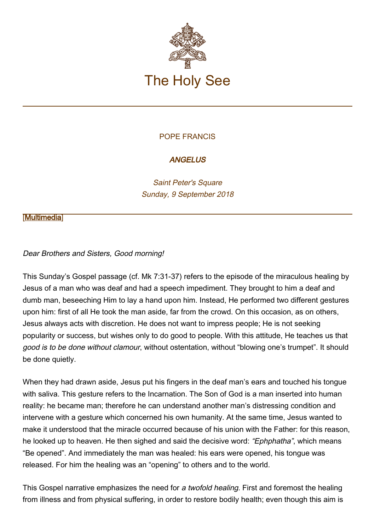

# POPE FRANCIS

# **ANGELUS**

Saint Peter's Square Sunday, 9 September 2018

#### [\[Multimedia](http://w2.vatican.va/content/francesco/en/events/event.dir.html/content/vaticanevents/en/2018/9/9/angelus.html)]

### Dear Brothers and Sisters, Good morning!

This Sunday's Gospel passage (cf. Mk 7:31-37) refers to the episode of the miraculous healing by Jesus of a man who was deaf and had a speech impediment. They brought to him a deaf and dumb man, beseeching Him to lay a hand upon him. Instead, He performed two different gestures upon him: first of all He took the man aside, far from the crowd. On this occasion, as on others, Jesus always acts with discretion. He does not want to impress people; He is not seeking popularity or success, but wishes only to do good to people. With this attitude, He teaches us that good is to be done without clamour, without ostentation, without "blowing one's trumpet". It should be done quietly.

When they had drawn aside, Jesus put his fingers in the deaf man's ears and touched his tongue with saliva. This gesture refers to the Incarnation. The Son of God is a man inserted into human reality: he became man; therefore he can understand another man's distressing condition and intervene with a gesture which concerned his own humanity. At the same time, Jesus wanted to make it understood that the miracle occurred because of his union with the Father: for this reason, he looked up to heaven. He then sighed and said the decisive word: "Ephphatha", which means "Be opened". And immediately the man was healed: his ears were opened, his tongue was released. For him the healing was an "opening" to others and to the world.

This Gospel narrative emphasizes the need for a twofold healing. First and foremost the healing from illness and from physical suffering, in order to restore bodily health; even though this aim is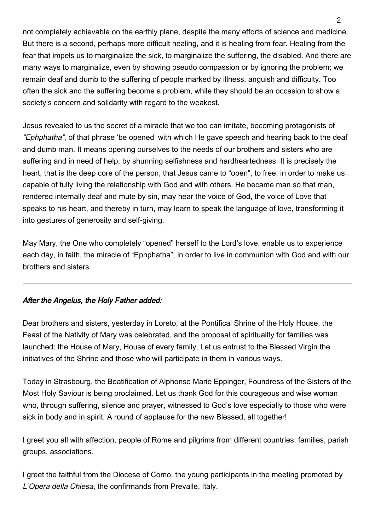not completely achievable on the earthly plane, despite the many efforts of science and medicine. But there is a second, perhaps more difficult healing, and it is healing from fear. Healing from the fear that impels us to marginalize the sick, to marginalize the suffering, the disabled. And there are many ways to marginalize, even by showing pseudo compassion or by ignoring the problem; we remain deaf and dumb to the suffering of people marked by illness, anguish and difficulty. Too often the sick and the suffering become a problem, while they should be an occasion to show a society's concern and solidarity with regard to the weakest.

Jesus revealed to us the secret of a miracle that we too can imitate, becoming protagonists of "Ephphatha", of that phrase 'be opened' with which He gave speech and hearing back to the deaf and dumb man. It means opening ourselves to the needs of our brothers and sisters who are suffering and in need of help, by shunning selfishness and hardheartedness. It is precisely the heart, that is the deep core of the person, that Jesus came to "open", to free, in order to make us capable of fully living the relationship with God and with others. He became man so that man, rendered internally deaf and mute by sin, may hear the voice of God, the voice of Love that speaks to his heart, and thereby in turn, may learn to speak the language of love, transforming it into gestures of generosity and self-giving.

May Mary, the One who completely "opened" herself to the Lord's love, enable us to experience each day, in faith, the miracle of "Ephphatha", in order to live in communion with God and with our brothers and sisters.

### After the Angelus, the Holy Father added:

Dear brothers and sisters, yesterday in Loreto, at the Pontifical Shrine of the Holy House, the Feast of the Nativity of Mary was celebrated, and the proposal of spirituality for families was launched: the House of Mary, House of every family. Let us entrust to the Blessed Virgin the initiatives of the Shrine and those who will participate in them in various ways.

Today in Strasbourg, the Beatification of Alphonse Marie Eppinger, Foundress of the Sisters of the Most Holy Saviour is being proclaimed. Let us thank God for this courageous and wise woman who, through suffering, silence and prayer, witnessed to God's love especially to those who were sick in body and in spirit. A round of applause for the new Blessed, all together!

I greet you all with affection, people of Rome and pilgrims from different countries: families, parish groups, associations.

I greet the faithful from the Diocese of Como, the young participants in the meeting promoted by L'Opera della Chiesa, the confirmands from Prevalle, Italy.